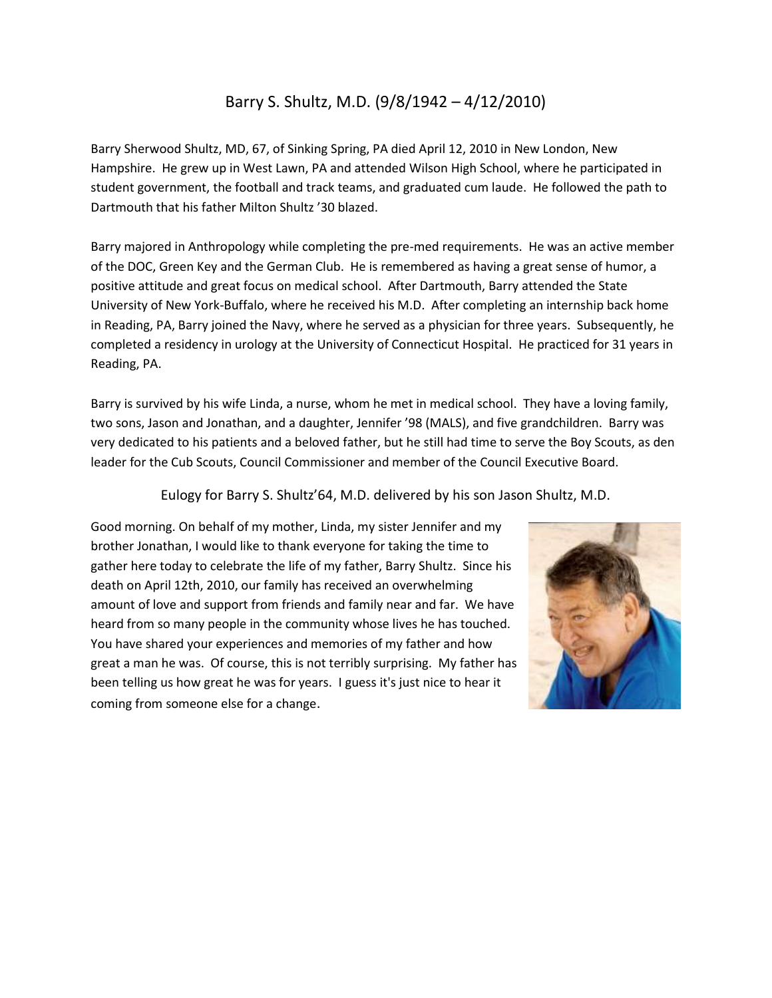## Barry S. Shultz, M.D. (9/8/1942 – 4/12/2010)

Barry Sherwood Shultz, MD, 67, of Sinking Spring, PA died April 12, 2010 in New London, New Hampshire. He grew up in West Lawn, PA and attended Wilson High School, where he participated in student government, the football and track teams, and graduated cum laude. He followed the path to Dartmouth that his father Milton Shultz '30 blazed.

Barry majored in Anthropology while completing the pre-med requirements. He was an active member of the DOC, Green Key and the German Club. He is remembered as having a great sense of humor, a positive attitude and great focus on medical school. After Dartmouth, Barry attended the State University of New York-Buffalo, where he received his M.D. After completing an internship back home in Reading, PA, Barry joined the Navy, where he served as a physician for three years. Subsequently, he completed a residency in urology at the University of Connecticut Hospital. He practiced for 31 years in Reading, PA.

Barry is survived by his wife Linda, a nurse, whom he met in medical school. They have a loving family, two sons, Jason and Jonathan, and a daughter, Jennifer '98 (MALS), and five grandchildren. Barry was very dedicated to his patients and a beloved father, but he still had time to serve the Boy Scouts, as den leader for the Cub Scouts, Council Commissioner and member of the Council Executive Board.

Eulogy for Barry S. Shultz'64, M.D. delivered by his son Jason Shultz, M.D.

Good morning. On behalf of my mother, Linda, my sister Jennifer and my brother Jonathan, I would like to thank everyone for taking the time to gather here today to celebrate the life of my father, Barry Shultz. Since his death on April 12th, 2010, our family has received an overwhelming amount of love and support from friends and family near and far. We have heard from so many people in the community whose lives he has touched. You have shared your experiences and memories of my father and how great a man he was. Of course, this is not terribly surprising. My father has been telling us how great he was for years. I guess it's just nice to hear it coming from someone else for a change.

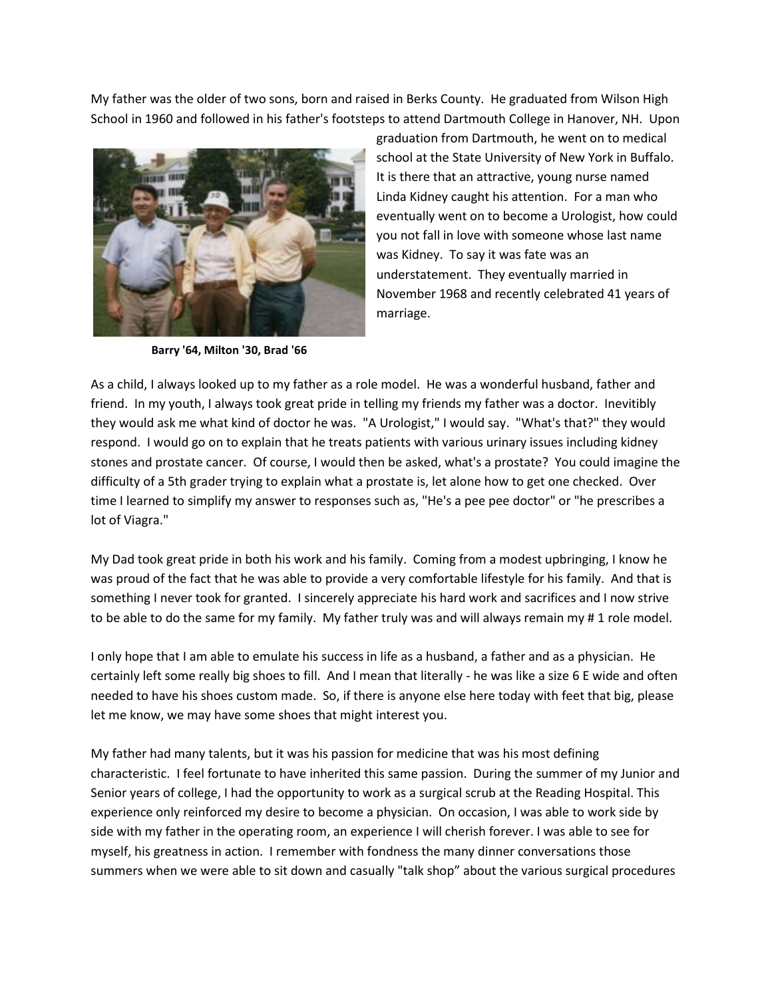My father was the older of two sons, born and raised in Berks County. He graduated from Wilson High School in 1960 and followed in his father's footsteps to attend Dartmouth College in Hanover, NH. Upon



**Barry '64, Milton '30, Brad '66**

graduation from Dartmouth, he went on to medical school at the State University of New York in Buffalo. It is there that an attractive, young nurse named Linda Kidney caught his attention. For a man who eventually went on to become a Urologist, how could you not fall in love with someone whose last name was Kidney. To say it was fate was an understatement. They eventually married in November 1968 and recently celebrated 41 years of marriage.

As a child, I always looked up to my father as a role model. He was a wonderful husband, father and friend. In my youth, I always took great pride in telling my friends my father was a doctor. Inevitibly they would ask me what kind of doctor he was. "A Urologist," I would say. "What's that?" they would respond. I would go on to explain that he treats patients with various urinary issues including kidney stones and prostate cancer. Of course, I would then be asked, what's a prostate? You could imagine the difficulty of a 5th grader trying to explain what a prostate is, let alone how to get one checked. Over time I learned to simplify my answer to responses such as, "He's a pee pee doctor" or "he prescribes a lot of Viagra."

My Dad took great pride in both his work and his family. Coming from a modest upbringing, I know he was proud of the fact that he was able to provide a very comfortable lifestyle for his family. And that is something I never took for granted. I sincerely appreciate his hard work and sacrifices and I now strive to be able to do the same for my family. My father truly was and will always remain my # 1 role model.

I only hope that I am able to emulate his success in life as a husband, a father and as a physician. He certainly left some really big shoes to fill. And I mean that literally - he was like a size 6 E wide and often needed to have his shoes custom made. So, if there is anyone else here today with feet that big, please let me know, we may have some shoes that might interest you.

My father had many talents, but it was his passion for medicine that was his most defining characteristic. I feel fortunate to have inherited this same passion. During the summer of my Junior and Senior years of college, I had the opportunity to work as a surgical scrub at the Reading Hospital. This experience only reinforced my desire to become a physician. On occasion, I was able to work side by side with my father in the operating room, an experience I will cherish forever. I was able to see for myself, his greatness in action. I remember with fondness the many dinner conversations those summers when we were able to sit down and casually "talk shop" about the various surgical procedures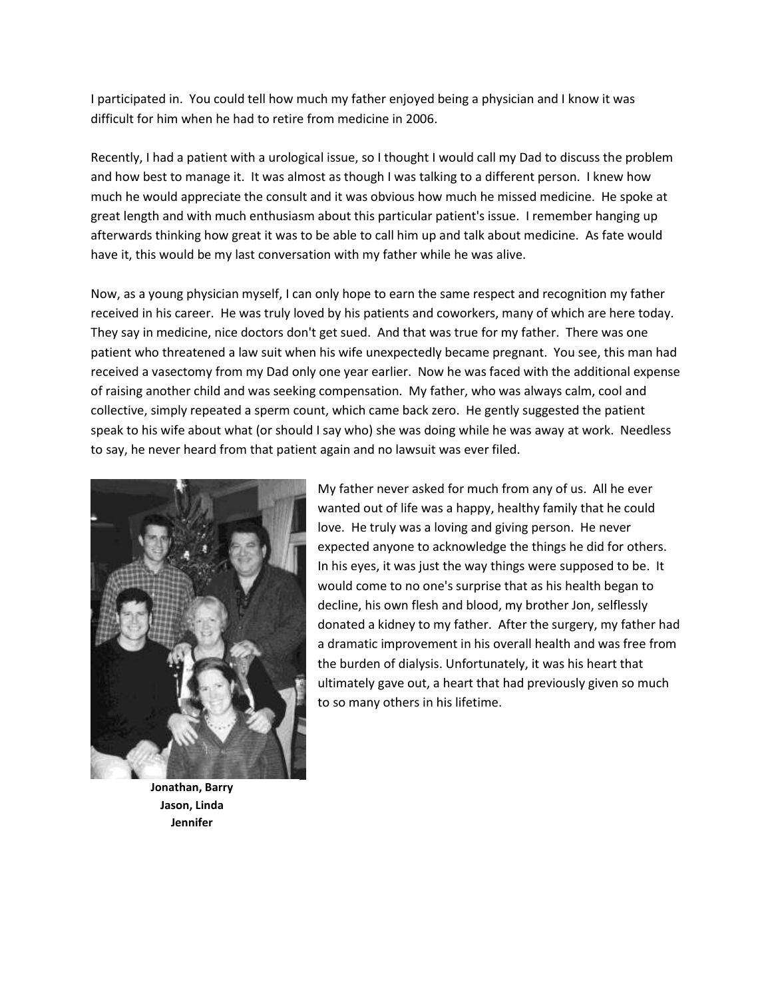I participated in. You could tell how much my father enjoyed being a physician and I know it was difficult for him when he had to retire from medicine in 2006.

Recently, I had a patient with a urological issue, so I thought I would call my Dad to discuss the problem and how best to manage it. It was almost as though I was talking to a different person. I knew how much he would appreciate the consult and it was obvious how much he missed medicine. He spoke at great length and with much enthusiasm about this particular patient's issue. I remember hanging up afterwards thinking how great it was to be able to call him up and talk about medicine. As fate would have it, this would be my last conversation with my father while he was alive.

Now, as a young physician myself, I can only hope to earn the same respect and recognition my father received in his career. He was truly loved by his patients and coworkers, many of which are here today. They say in medicine, nice doctors don't get sued. And that was true for my father. There was one patient who threatened a law suit when his wife unexpectedly became pregnant. You see, this man had received a vasectomy from my Dad only one year earlier. Now he was faced with the additional expense of raising another child and was seeking compensation. My father, who was always calm, cool and collective, simply repeated a sperm count, which came back zero. He gently suggested the patient speak to his wife about what (or should I say who) she was doing while he was away at work. Needless to say, he never heard from that patient again and no lawsuit was ever filed.



**Jonathan, Barry Jason, Linda Jennifer**

My father never asked for much from any of us. All he ever wanted out of life was a happy, healthy family that he could love. He truly was a loving and giving person. He never expected anyone to acknowledge the things he did for others. In his eyes, it was just the way things were supposed to be. It would come to no one's surprise that as his health began to decline, his own flesh and blood, my brother Jon, selflessly donated a kidney to my father. After the surgery, my father had a dramatic improvement in his overall health and was free from the burden of dialysis. Unfortunately, it was his heart that ultimately gave out, a heart that had previously given so much to so many others in his lifetime.